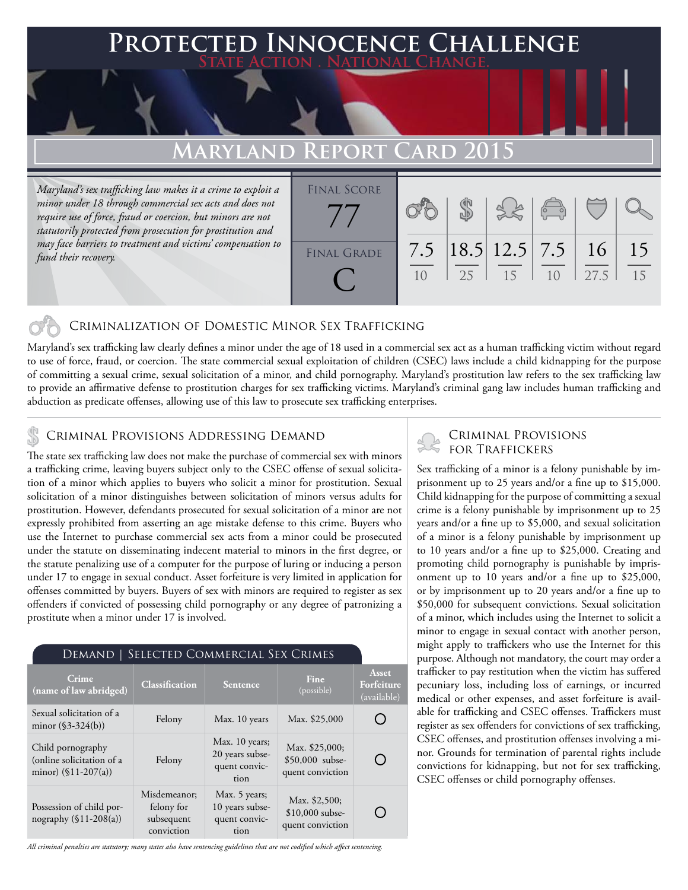### **FED INNOCENCE CHALLENGE State Action . National Change.**

## **MARYLAND REPORT**

*Maryland's sex trafficking law makes it a crime to exploit a minor under 18 through commercial sex acts and does not require use of force, fraud or coercion, but minors are not statutorily protected from prosecution for prostitution and may face barriers to treatment and victims' compensation to fund their recovery.*

| <b>FINAL SCORE</b> |     |    |                                                         | $\begin{pmatrix} 1 & 1 \\ 0 & 0 \end{pmatrix}$ |      |          |
|--------------------|-----|----|---------------------------------------------------------|------------------------------------------------|------|----------|
| <b>FINAL GRADE</b> | 7.5 | 25 | $\left  18.5 \right  12.5 \left  7.5 \right  16$<br>-15 |                                                | 27.5 | 15<br>15 |

### Criminalization of Domestic Minor Sex Trafficking

Maryland's sex trafficking law clearly defines a minor under the age of 18 used in a commercial sex act as a human trafficking victim without regard to use of force, fraud, or coercion. The state commercial sexual exploitation of children (CSEC) laws include a child kidnapping for the purpose of committing a sexual crime, sexual solicitation of a minor, and child pornography. Maryland's prostitution law refers to the sex trafficking law to provide an affirmative defense to prostitution charges for sex trafficking victims. Maryland's criminal gang law includes human trafficking and abduction as predicate offenses, allowing use of this law to prosecute sex trafficking enterprises.

# CRIMINAL PROVISIONS ADDRESSING DEMAND<br>FOR TRAFFICKERS

The state sex trafficking law does not make the purchase of commercial sex with minors a trafficking crime, leaving buyers subject only to the CSEC offense of sexual solicitation of a minor which applies to buyers who solicit a minor for prostitution. Sexual solicitation of a minor distinguishes between solicitation of minors versus adults for prostitution. However, defendants prosecuted for sexual solicitation of a minor are not expressly prohibited from asserting an age mistake defense to this crime. Buyers who use the Internet to purchase commercial sex acts from a minor could be prosecuted under the statute on disseminating indecent material to minors in the first degree, or the statute penalizing use of a computer for the purpose of luring or inducing a person under 17 to engage in sexual conduct. Asset forfeiture is very limited in application for offenses committed by buyers. Buyers of sex with minors are required to register as sex offenders if convicted of possessing child pornography or any degree of patronizing a prostitute when a minor under 17 is involved.

#### Demand | Selected Commercial Sex Crimes

| Crime<br>(name of law abridged)                                          | <b>Classification</b>                                  | <b>Sentence</b>                                            | Fine<br>(possible)                                    | Asset<br>Forfeiture<br>(available) |
|--------------------------------------------------------------------------|--------------------------------------------------------|------------------------------------------------------------|-------------------------------------------------------|------------------------------------|
| Sexual solicitation of a<br>minor $(\$3-324(b))$                         | Felony                                                 | Max. 10 years                                              | Max. \$25,000                                         |                                    |
| Child pornography<br>(online solicitation of a<br>minor) $(\$11-207(a))$ | Felony                                                 | Max. 10 years;<br>20 years subse-<br>quent convic-<br>tion | Max. \$25,000;<br>\$50,000 subse-<br>quent conviction |                                    |
| Possession of child por-<br>nography $(\$11-208(a))$                     | Misdemeanor;<br>felony for<br>subsequent<br>conviction | Max. 5 years;<br>10 years subse-<br>quent convic-<br>tion  | Max. \$2,500;<br>$$10,000$ subse-<br>quent conviction |                                    |

Criminal Provisions

Sex trafficking of a minor is a felony punishable by imprisonment up to 25 years and/or a fine up to \$15,000. Child kidnapping for the purpose of committing a sexual crime is a felony punishable by imprisonment up to 25 years and/or a fine up to \$5,000, and sexual solicitation of a minor is a felony punishable by imprisonment up to 10 years and/or a fine up to \$25,000. Creating and promoting child pornography is punishable by imprisonment up to 10 years and/or a fine up to \$25,000, or by imprisonment up to 20 years and/or a fine up to \$50,000 for subsequent convictions. Sexual solicitation of a minor, which includes using the Internet to solicit a minor to engage in sexual contact with another person, might apply to traffickers who use the Internet for this purpose. Although not mandatory, the court may order a trafficker to pay restitution when the victim has suffered pecuniary loss, including loss of earnings, or incurred medical or other expenses, and asset forfeiture is available for trafficking and CSEC offenses. Traffickers must register as sex offenders for convictions of sex trafficking, CSEC offenses, and prostitution offenses involving a minor. Grounds for termination of parental rights include convictions for kidnapping, but not for sex trafficking, CSEC offenses or child pornography offenses.

*All criminal penalties are statutory; many states also have sentencing guidelines that are not codified which affect sentencing.*